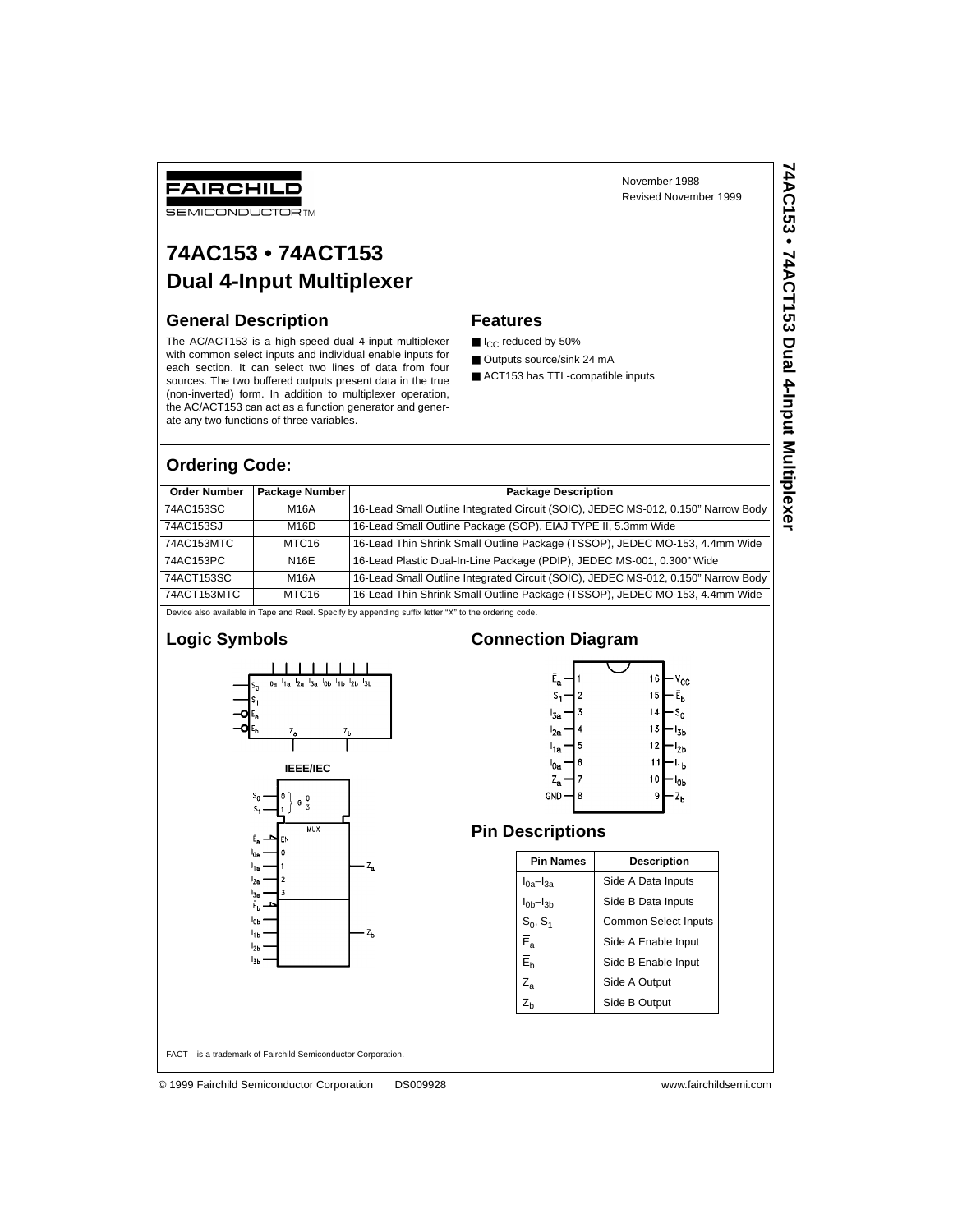# FAIRCHILD

**SEMICONDUCTOR TM** 

# **74AC153 • 74ACT153 Dual 4-Input Multiplexer**

### **General Description**

The AC/ACT153 is a high-speed dual 4-input multiplexer with common select inputs and individual enable inputs for each section. It can select two lines of data from four sources. The two buffered outputs present data in the true (non-inverted) form. In addition to multiplexer operation, the AC/ACT153 can act as a function generator and generate any two functions of three variables.

November 1988 Revised November 1999

### **Features**

- I<sub>CC</sub> reduced by 50%
- Outputs source/sink 24 mA
- ACT153 has TTL-compatible inputs

### **Ordering Code:**

| <b>Order Number</b>                                                                                  | Package Number    | <b>Package Description</b>                                                        |  |  |  |
|------------------------------------------------------------------------------------------------------|-------------------|-----------------------------------------------------------------------------------|--|--|--|
|                                                                                                      |                   |                                                                                   |  |  |  |
| 74AC153SC                                                                                            | M16A              | 16-Lead Small Outline Integrated Circuit (SOIC), JEDEC MS-012, 0.150" Narrow Body |  |  |  |
| 74AC153SJ                                                                                            | M16D              | 16-Lead Small Outline Package (SOP), EIAJ TYPE II, 5.3mm Wide                     |  |  |  |
| 74AC153MTC                                                                                           | MTC <sub>16</sub> | 16-Lead Thin Shrink Small Outline Package (TSSOP), JEDEC MO-153, 4.4mm Wide       |  |  |  |
| 74AC153PC                                                                                            | N16E              | 16-Lead Plastic Dual-In-Line Package (PDIP), JEDEC MS-001, 0.300" Wide            |  |  |  |
| 74ACT153SC                                                                                           | M16A              | 16-Lead Small Outline Integrated Circuit (SOIC), JEDEC MS-012, 0.150" Narrow Body |  |  |  |
| 74ACT153MTC                                                                                          | MTC <sub>16</sub> | 16-Lead Thin Shrink Small Outline Package (TSSOP), JEDEC MO-153, 4.4mm Wide       |  |  |  |
| Device also available in Tape and Reel. Specify by appending suffix letter "X" to the ordering code. |                   |                                                                                   |  |  |  |

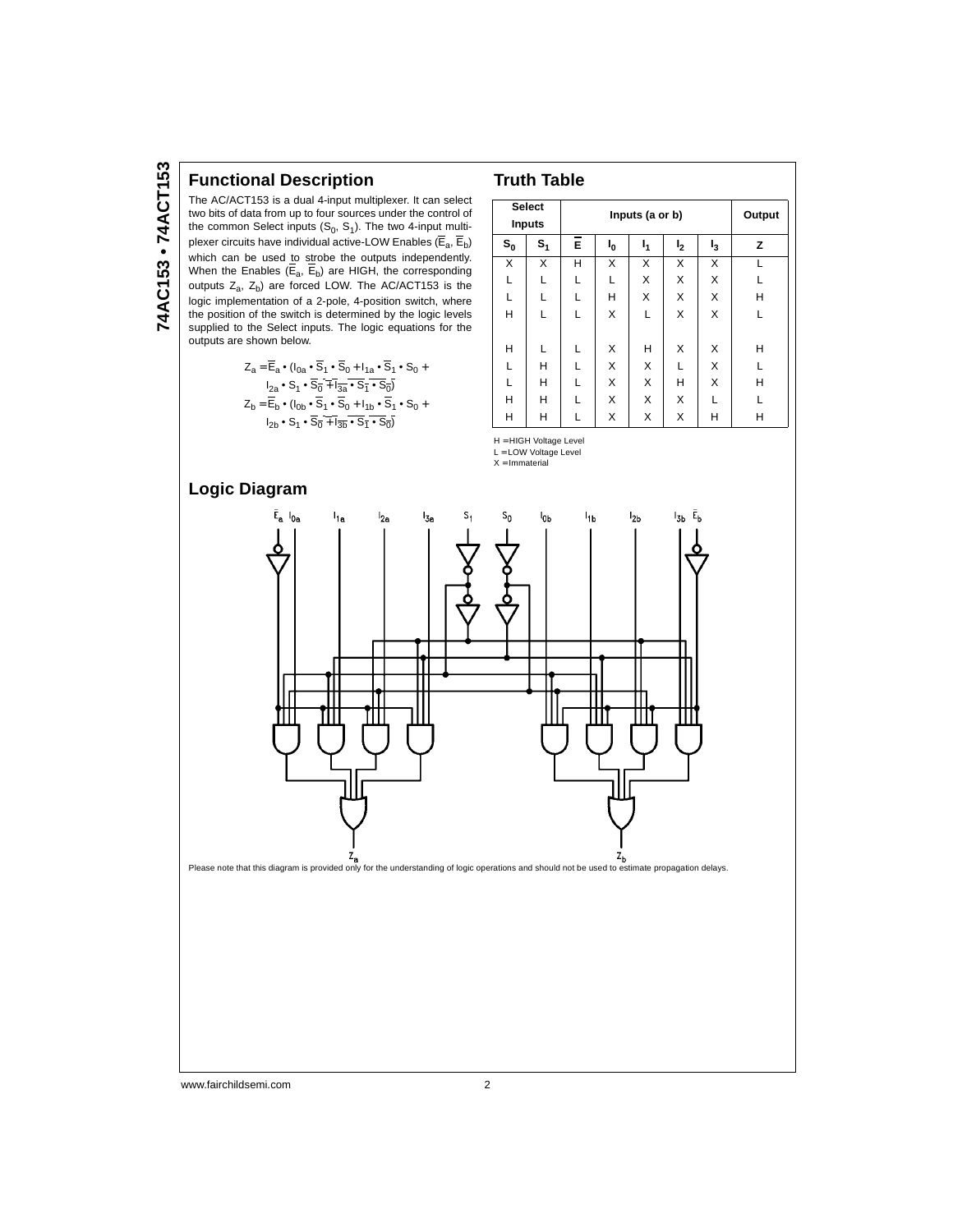### **Functional Description**

The AC/ACT153 is a dual 4-input multiplexer. It can select two bits of data from up to four sources under the control of the common Select inputs  $(S_0, S_1)$ . The two 4-input multiplexer circuits have individual active-LOW Enables ( $\overline{E}_a$ ,  $\overline{E}_b$ ) which can be used to strobe the outputs independently. When the Enables ( $E_a$ ,  $E_b$ ) are HIGH, the corresponding outputs  $Z_a$ ,  $Z_b$ ) are forced LOW. The AC/ACT153 is the logic implementation of a 2-pole, 4-position switch, where the position of the switch is determined by the logic levels supplied to the Select inputs. The logic equations for the outputs are shown below.

$$
Z_a = \overline{E}_a \cdot (I_{0a} \cdot \overline{S}_1 \cdot \overline{S}_0 + I_{1a} \cdot \overline{S}_1 \cdot S_0 + I_{2a} \cdot S_1 \cdot S_0)
$$
  
\n
$$
I_{2a} \cdot S_1 \cdot \overline{S}_0 + \overline{I_{3a}} \cdot \overline{S}_1 \cdot S_0
$$
  
\n
$$
Z_b = \overline{E}_b \cdot (I_{0b} \cdot \overline{S}_1 \cdot \overline{S}_0 + I_{1b} \cdot \overline{S}_1 \cdot S_0 + I_{2b} \cdot S_1 \cdot S_0 + I_{2b} \cdot S_1 \cdot S_0)
$$

|         | <b>Select</b><br><b>Inputs</b> |   | Inputs (a or b) |    |                |       |   |  |  |
|---------|--------------------------------|---|-----------------|----|----------------|-------|---|--|--|
| $s_{o}$ | $S_1$                          | Ē | ı <sub>0</sub>  | 1, | I <sub>2</sub> | $I_3$ | z |  |  |
| X       | X                              | н | X               | X  | X              | X     |   |  |  |
| L       | L                              | L |                 | X  | X              | X     | L |  |  |
| L       | L                              | L | Н               | X  | X              | X     | н |  |  |
| H       | L                              | L | X               | L  | X              | X     | L |  |  |
| н       | L                              | L | X               | н  | X              | X     | н |  |  |
| L       | H                              | L | X               | X  | L              | X     | L |  |  |
| L       | н                              | L | X               | Χ  | н              | X     | н |  |  |
| H       | H                              | L | X               | X  | X              | L     | L |  |  |
| н       | Н                              |   | Χ               | Χ  | Χ              | н     | н |  |  |

H = HIGH Voltage Level L = LOW Voltage Level  $X = ImmateriaI$ 

**Truth Table**

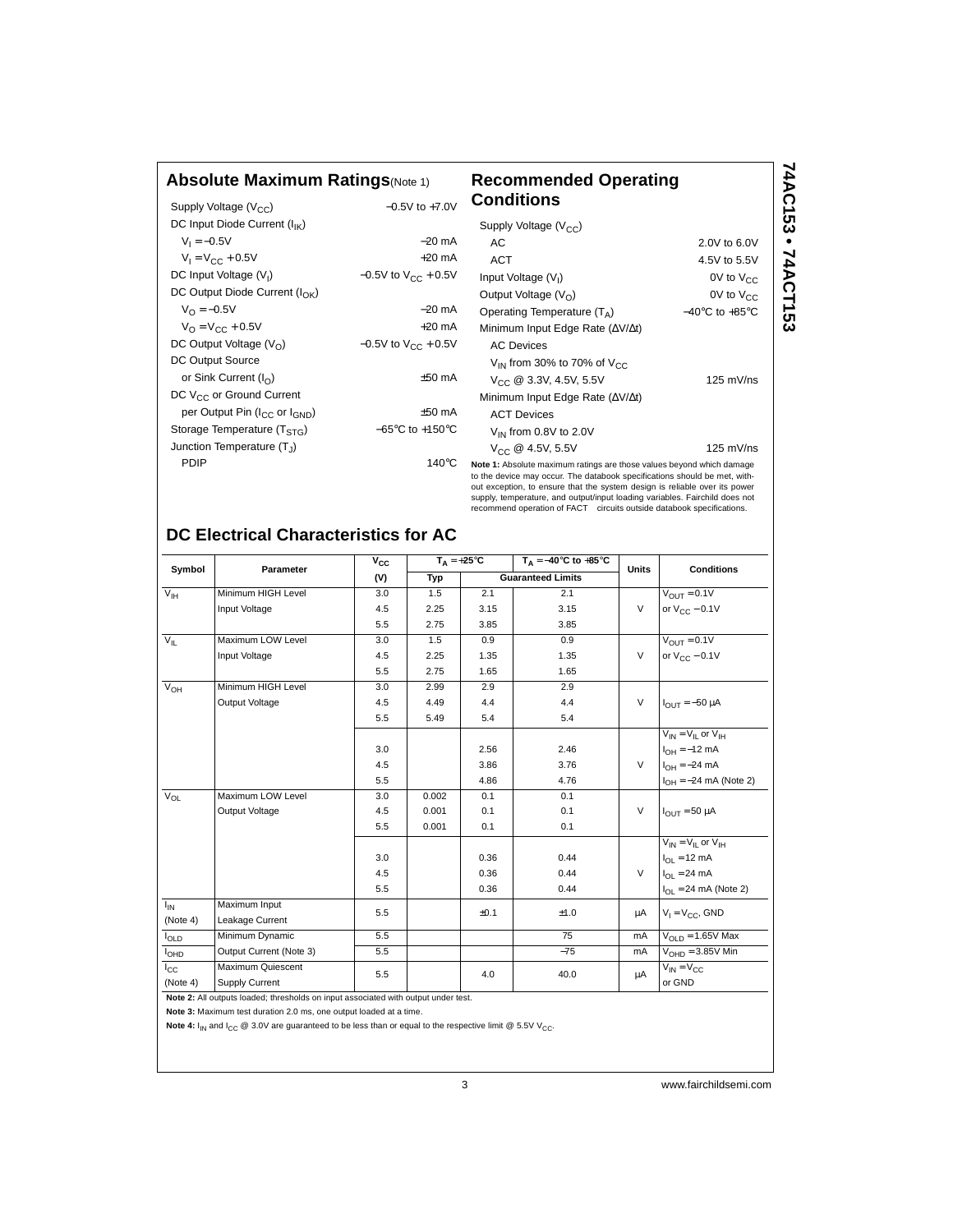# **Absolute Maximum Ratings**(Note 1) **Recommended Operating**

| Absolute Maximum Ratings(Note 1)         | Recommended Operatin |                                   |  |
|------------------------------------------|----------------------|-----------------------------------|--|
| Supply Voltage $(V_{CC})$                | $-0.5V$ to $+7.0V$   | Conditions                        |  |
| DC Input Diode Current $(I_{\text{IV}})$ |                      | Supply Voltage $(N_{\text{ext}})$ |  |

| DC Input Diode Current $(I_{IK})$                     |                                     | Sup                            |
|-------------------------------------------------------|-------------------------------------|--------------------------------|
| $V_1 = -0.5V$                                         | $-20$ mA                            | A                              |
| $V_1 = V_{CC} + 0.5V$                                 | $+20$ mA                            | A                              |
| DC Input Voltage $(V1)$                               | $-0.5V$ to $V_{CC}$ + 0.5V          | <b>Inpu</b>                    |
| DC Output Diode Current ( $I_{\cap K}$ )              |                                     | Out                            |
| $V_{\Omega} = -0.5V$                                  | $-20$ mA                            | Ope                            |
| $V_{\Omega} = V_{\Gamma C} + 0.5V$                    | $+20$ mA                            | Min                            |
| DC Output Voltage $(VO)$                              | $-0.5V$ to $V_{CC}$ + 0.5V          | Α                              |
| DC Output Source                                      |                                     | V                              |
| or Sink Current $(I_{\cap})$                          | $±50$ mA                            | V                              |
| DC V <sub>CC</sub> or Ground Current                  |                                     | Min                            |
| per Output Pin (I <sub>CC</sub> or I <sub>GND</sub> ) | $±50$ mA                            | Α                              |
| Storage Temperature (T <sub>STG</sub> )               | $-65^{\circ}$ C to $+150^{\circ}$ C | V                              |
| Junction Temperature (T1)                             |                                     | V                              |
| PDIP                                                  | $140^{\circ}$ C                     | Note 1<br>to the<br>$0$ ut ave |

| Recommended Operating<br>Conditions                                   |                                    | 74AC153 • 74ACT153 |
|-----------------------------------------------------------------------|------------------------------------|--------------------|
| Supply Voltage $(V_{CC})$                                             |                                    |                    |
| АC                                                                    | 2.0V to 6.0V                       |                    |
| ACT                                                                   | 4.5V to 5.5V                       |                    |
| Input Voltage $(V1)$                                                  | $0V$ to $V_{CC}$                   |                    |
| Output Voltage $(V0)$                                                 | 0V to $V_{CC}$                     |                    |
| Operating Temperature $(T_A)$                                         | $-40^{\circ}$ C to $+85^{\circ}$ C |                    |
| Minimum Input Edge Rate ( $\Delta V/\Delta t$ )                       |                                    |                    |
| <b>AC Devices</b>                                                     |                                    |                    |
| $V_{IN}$ from 30% to 70% of $V_{CC}$                                  |                                    |                    |
| $V_{CC}$ @ 3.3V, 4.5V, 5.5V                                           | $125$ mV/ns                        |                    |
| Minimum Input Edge Rate ( $\Delta V/\Delta t$ )                       |                                    |                    |
| <b>ACT Devices</b>                                                    |                                    |                    |
| $V_{IN}$ from 0.8V to 2.0V                                            |                                    |                    |
| $V_{CC}$ @ 4.5V, 5.5V                                                 | $125$ mV/ns                        |                    |
| Note 1: Absolute maximum ratings are those values beyond which damage |                                    |                    |

device may occur. The databook specifications should be met, without exception, to ensure that the system design is reliable over its power<br>supply, temperature, and output/input loading variables. Fairchild does not<br>recommend operation of FACT™ circuits outside databook specifications.

# **DC Electrical Characteristics for AC**

| Symbol                 | Parameter                                                                          | $V_{CC}$ | $T_A = +25^{\circ}C$ |      | $T_A = -40^\circ C$ to $+85^\circ C$ | <b>Units</b> | <b>Conditions</b>                 |  |
|------------------------|------------------------------------------------------------------------------------|----------|----------------------|------|--------------------------------------|--------------|-----------------------------------|--|
|                        |                                                                                    | (V)      | Typ                  |      | <b>Guaranteed Limits</b>             |              |                                   |  |
| $V_{\text{IH}}$        | Minimum HIGH Level                                                                 | 3.0      | 1.5                  | 2.1  | 2.1                                  |              | $V_{\text{OUT}} = 0.1V$           |  |
|                        | Input Voltage                                                                      | 4.5      | 2.25                 | 3.15 | 3.15                                 | $\vee$       | or $V_{\text{C} \text{C}}$ – 0.1V |  |
|                        |                                                                                    | 5.5      | 2.75                 | 3.85 | 3.85                                 |              |                                   |  |
| $V_{IL}$               | Maximum LOW Level                                                                  | 3.0      | 1.5                  | 0.9  | 0.9                                  |              | $V_{\text{OUT}} = 0.1V$           |  |
|                        | Input Voltage                                                                      | 4.5      | 2.25                 | 1.35 | 1.35                                 | $\vee$       | or $V_{CC}$ – 0.1V                |  |
|                        |                                                                                    | 5.5      | 2.75                 | 1.65 | 1.65                                 |              |                                   |  |
| $V_{OH}$               | Minimum HIGH Level                                                                 | 3.0      | 2.99                 | 2.9  | 2.9                                  |              |                                   |  |
|                        | Output Voltage                                                                     | 4.5      | 4.49                 | 4.4  | 4.4                                  | $\vee$       | $I_{OUT} = -50 \mu A$             |  |
|                        |                                                                                    | 5.5      | 5.49                 | 5.4  | 5.4                                  |              |                                   |  |
|                        |                                                                                    |          |                      |      |                                      |              | $V_{IN} = V_{II}$ or $V_{IH}$     |  |
|                        |                                                                                    | 3.0      |                      | 2.56 | 2.46                                 |              | $I_{OH} = -12$ mA                 |  |
|                        |                                                                                    | 4.5      |                      | 3.86 | 3.76                                 | $\vee$       | $I_{OH} = -24 \text{ mA}$         |  |
|                        |                                                                                    | 5.5      |                      | 4.86 | 4.76                                 |              | $I_{OH} = -24$ mA (Note 2)        |  |
| $V_{OL}$               | Maximum LOW Level                                                                  | 3.0      | 0.002                | 0.1  | 0.1                                  |              |                                   |  |
|                        | Output Voltage                                                                     | 4.5      | 0.001                | 0.1  | 0.1                                  | $\vee$       | $I_{OIII}$ = 50 µA                |  |
|                        |                                                                                    | 5.5      | 0.001                | 0.1  | 0.1                                  |              |                                   |  |
|                        |                                                                                    |          |                      |      |                                      |              | $V_{IN} = V_{II}$ or $V_{IH}$     |  |
|                        |                                                                                    | 3.0      |                      | 0.36 | 0.44                                 |              | $I_{\text{OI}} = 12 \text{ mA}$   |  |
|                        |                                                                                    | 4.5      |                      | 0.36 | 0.44                                 | $\vee$       | $I_{\text{OI}} = 24 \text{ mA}$   |  |
|                        |                                                                                    | 5.5      |                      | 0.36 | 0.44                                 |              | $I_{\Omega I}$ = 24 mA (Note 2)   |  |
| $I_{IN}$               | Maximum Input                                                                      | 5.5      |                      | ±0.1 | ±1.0                                 | μA           | $V_1 = V_{CC}$ , GND              |  |
| (Note 4)               | Leakage Current                                                                    |          |                      |      |                                      |              |                                   |  |
| $I_{OLD}$              | Minimum Dynamic                                                                    | 5.5      |                      |      | 75                                   | mA           | $V_{\text{OL}}$ $p = 1.65V$ Max   |  |
| <b>I<sub>OHD</sub></b> | Output Current (Note 3)                                                            | 5.5      |                      |      | $-75$                                | mA           | $VOHD = 3.85V$ Min                |  |
| $I_{\rm CC}$           | Maximum Quiescent                                                                  | 5.5      |                      | 4.0  | 40.0                                 |              | $V_{IN} = V_{CC}$                 |  |
| (Note 4)               | Supply Current                                                                     |          |                      |      |                                      | μA           | or GND                            |  |
|                        | Note 2: All outputs loaded; thresholds on input associated with output under test. |          |                      |      |                                      |              |                                   |  |

**Note 3:** Maximum test duration 2.0 ms, one output loaded at a time.

Note 4:  $I_{IN}$  and  $I_{CC}$  @ 3.0V are guaranteed to be less than or equal to the respective limit @ 5.5V V<sub>CC</sub>.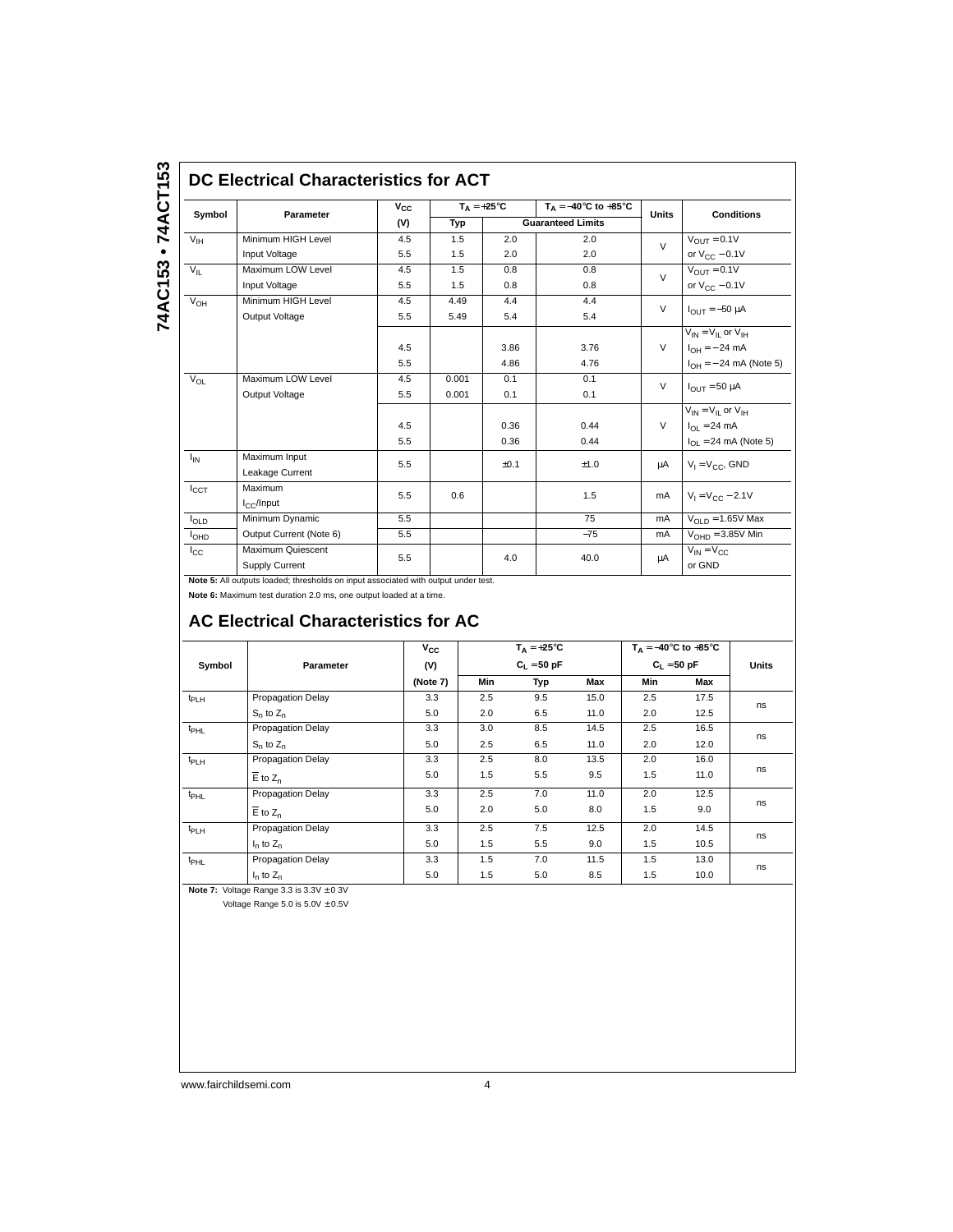### **DC Electrical Characteristics for ACT**

| Symbol           | Parameter                           | $v_{\rm cc}$ | $T_{\text{A}} = +25^{\circ}C$ |      | $T_A = -40^{\circ}$ C to $+85^{\circ}$ C | <b>Units</b> | <b>Conditions</b>              |
|------------------|-------------------------------------|--------------|-------------------------------|------|------------------------------------------|--------------|--------------------------------|
|                  |                                     | (V)          | Typ                           |      | <b>Guaranteed Limits</b>                 |              |                                |
| $V_{IH}$         | Minimum HIGH Level                  | 4.5          | 1.5                           | 2.0  | 2.0                                      | $\vee$       | $V_{OUT} = 0.1V$               |
|                  | Input Voltage                       | 5.5          | 1.5                           | 2.0  | 2.0                                      |              | or $V_{CC}$ – 0.1V             |
| $V_{\parallel}$  | Maximum LOW Level                   | 4.5          | 1.5                           | 0.8  | 0.8                                      | $\vee$       | $V_{OIII} = 0.1V$              |
|                  | Input Voltage                       | 5.5          | 1.5                           | 0.8  | 0.8                                      |              | or $V_{CC}$ – 0.1V             |
| $V_{OH}$         | Minimum HIGH Level                  | 4.5          | 4.49                          | 4.4  | 4.4                                      | $\vee$       | $I_{OIII} = -50 \mu A$         |
|                  | Output Voltage                      | 5.5          | 5.49                          | 5.4  | 5.4                                      |              |                                |
|                  |                                     |              |                               |      |                                          |              | $V_{IN} = V_{II}$ or $V_{IH}$  |
|                  |                                     | 4.5          |                               | 3.86 | 3.76                                     | $\vee$       | $I_{OH} = -24$ mA              |
|                  |                                     | 5.5          |                               | 4.86 | 4.76                                     |              | $I_{OH} = -24$ mA (Note 5)     |
| $V_{OL}$         | Maximum LOW Level                   | 4.5          | 0.001                         | 0.1  | 0.1                                      | $\vee$       | $I_{OIII}$ = 50 µA             |
|                  | Output Voltage                      | 5.5          | 0.001                         | 0.1  | 0.1                                      |              |                                |
|                  |                                     |              |                               |      |                                          |              | $V_{IN} = V_{II}$ or $V_{IH}$  |
|                  |                                     | 4.5          |                               | 0.36 | 0.44                                     | $\vee$       | $I_{\Omega I} = 24 \text{ mA}$ |
|                  |                                     | 5.5          |                               | 0.36 | 0.44                                     |              | $I_{OL}$ = 24 mA (Note 5)      |
| $I_{IN}$         | Maximum Input                       | 5.5          |                               | ±0.1 | ±1.0                                     | μA           | $V_1 = V_{CC}$ , GND           |
|                  | Leakage Current                     |              |                               |      |                                          |              |                                |
| $I_{CCT}$        | Maximum                             | 5.5          | 0.6                           |      | 1.5                                      | mA           | $V_1 = V_{CC} - 2.1V$          |
|                  | $I_{C}$ /Input                      |              |                               |      |                                          |              |                                |
| $I_{OLD}$        | Minimum Dynamic                     | 5.5          |                               |      | 75                                       | mA           | $VOLD = 1.65V$ Max             |
| I <sub>OHD</sub> | Output Current (Note 6)             | 5.5          |                               |      | $-75$                                    | mA           | $VOHD = 3.85V$ Min             |
| $I_{\rm CC}$     | Maximum Quiescent<br>Supply Current | 5.5          |                               | 4.0  | 40.0                                     | μA           | $V_{IN} = V_{C}$<br>or GND     |

**Note 5:** All outputs loaded; thresholds on input associated with output under test.

**Note 6:** Maximum test duration 2.0 ms, one output loaded at a time.

## **AC Electrical Characteristics for AC**

|                  |                          | $v_{\rm cc}$ |               | $T_A = +25^{\circ}C$ |      |               | $T_A = -40^\circ \text{C}$ to $+85^\circ \text{C}$ |       |
|------------------|--------------------------|--------------|---------------|----------------------|------|---------------|----------------------------------------------------|-------|
| Symbol           | Parameter                | (V)          | $C_1 = 50$ pF |                      |      | $C_1 = 50 pF$ |                                                    | Units |
|                  |                          | (Note 7)     | Min           | Typ                  | Max  | Min           | Max                                                |       |
| t <sub>PLH</sub> | Propagation Delay        | 3.3          | 2.5           | 9.5                  | 15.0 | 2.5           | 17.5                                               |       |
|                  | $S_n$ to $Z_n$           | 5.0          | 2.0           | 6.5                  | 11.0 | 2.0           | 12.5                                               | ns    |
| $t_{\text{PHL}}$ | Propagation Delay        | 3.3          | 3.0           | 8.5                  | 14.5 | 2.5           | 16.5                                               | ns    |
|                  | $S_n$ to $Z_n$           | 5.0          | 2.5           | 6.5                  | 11.0 | 2.0           | 12.0                                               |       |
| t <sub>PLH</sub> | <b>Propagation Delay</b> | 3.3          | 2.5           | 8.0                  | 13.5 | 2.0           | 16.0                                               | ns    |
|                  | $\overline{E}$ to $Z_n$  | 5.0          | 1.5           | 5.5                  | 9.5  | 1.5           | 11.0                                               |       |
| $t_{\text{PHL}}$ | <b>Propagation Delay</b> | 3.3          | 2.5           | 7.0                  | 11.0 | 2.0           | 12.5                                               |       |
|                  | $E$ to $Z_n$             | 5.0          | 2.0           | 5.0                  | 8.0  | 1.5           | 9.0                                                | ns    |
| t <sub>PLH</sub> | Propagation Delay        | 3.3          | 2.5           | 7.5                  | 12.5 | 2.0           | 14.5                                               |       |
| $I_n$ to $Z_n$   |                          | 5.0          | 1.5           | 5.5                  | 9.0  | 1.5           | 10.5                                               | ns    |
| $t_{\text{PHL}}$ | Propagation Delay        | 3.3          | 1.5           | 7.0                  | 11.5 | 1.5           | 13.0                                               |       |
|                  | $I_n$ to $Z_n$           | 5.0          | 1.5           | 5.0                  | 8.5  | 1.5           | 10.0                                               | ns    |

**Note 7:** Voltage Range 3.3 is 3.3V ± 0 3V

Voltage Range 5.0 is  $5.0V \pm 0.5V$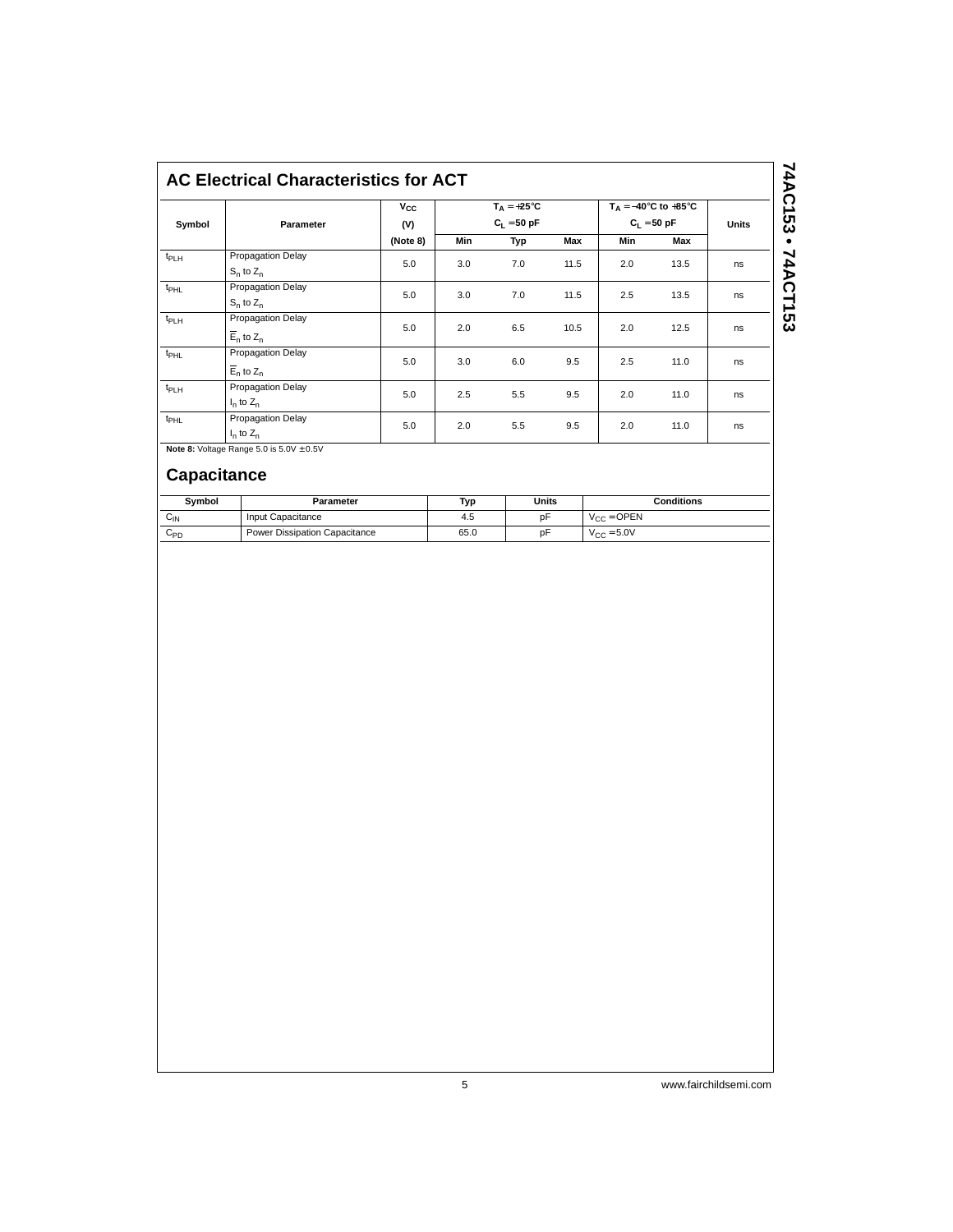# **AC Electrical Characteristics for ACT**

| Symbol           | Parameter                                      | $V_{\rm CC}$<br>(V) | $T_A = +25^{\circ}C$<br>$C_1 = 50$ pF |     |      | $T_A = -40^\circ \text{C}$ to $+85^\circ \text{C}$<br>$C_1 = 50 pF$ | <b>Units</b> |    |
|------------------|------------------------------------------------|---------------------|---------------------------------------|-----|------|---------------------------------------------------------------------|--------------|----|
|                  |                                                | (Note 8)            | Min                                   | Typ | Max  | <b>Min</b>                                                          | Max          |    |
| $t_{PLH}$        | Propagation Delay<br>$S_n$ to $Z_n$            | 5.0                 | 3.0                                   | 7.0 | 11.5 | 2.0                                                                 | 13.5         | ns |
| $t_{\text{PHL}}$ | Propagation Delay<br>$S_n$ to $Z_n$            | 5.0                 | 3.0                                   | 7.0 | 11.5 | 2.5                                                                 | 13.5         | ns |
| $t_{PLH}$        | Propagation Delay<br>$\overline{E}_n$ to $Z_n$ | 5.0                 | 2.0                                   | 6.5 | 10.5 | 2.0                                                                 | 12.5         | ns |
| $t_{\text{PHL}}$ | Propagation Delay<br>$\overline{E}_n$ to $Z_n$ | 5.0                 | 3.0                                   | 6.0 | 9.5  | 2.5                                                                 | 11.0         | ns |
| $t_{PLH}$        | Propagation Delay<br>$I_n$ to $Z_n$            | 5.0                 | 2.5                                   | 5.5 | 9.5  | 2.0                                                                 | 11.0         | ns |
| t <sub>PHL</sub> | Propagation Delay<br>$I_n$ to $Z_n$            | 5.0                 | 2.0                                   | 5.5 | 9.5  | 2.0                                                                 | 11.0         | ns |

**Note 8:** Voltage Range 5.0 is 5.0V  $\pm$  0.5V

# **Capacitance**

| Symbol   | Parameter                     | Typ  | Units | <b>Conditions</b>      |
|----------|-------------------------------|------|-------|------------------------|
| $C_{IN}$ | Input Capacitance             | 4.5  | рF    | $V_{CC} =$ OPEN        |
| ∪PD      | Power Dissipation Capacitance | 65.0 | рF    | $V_{\text{CC}} = 5.0V$ |

 $74AC153 \cdot 74ACT153$ **74AC153 • 74ACT153**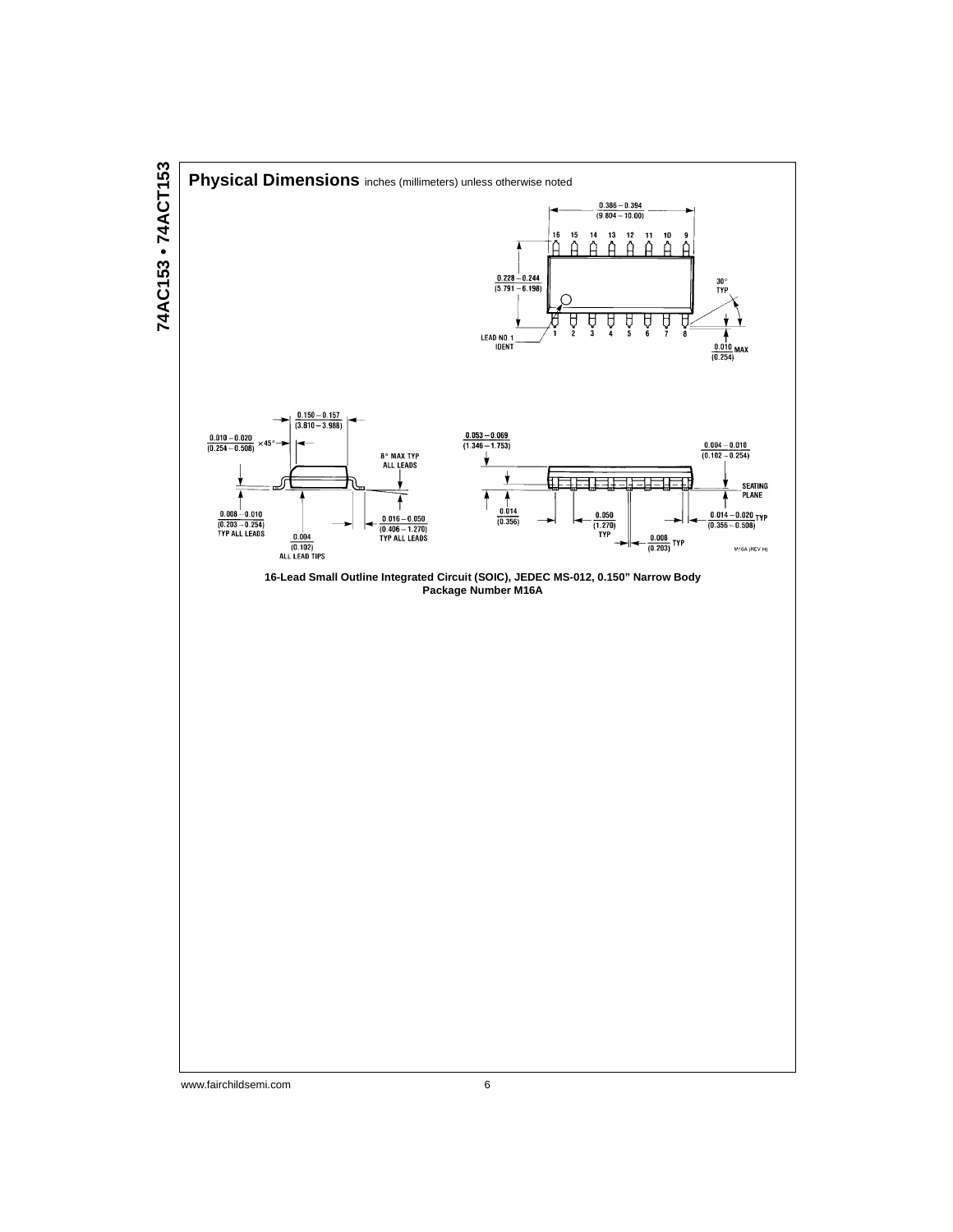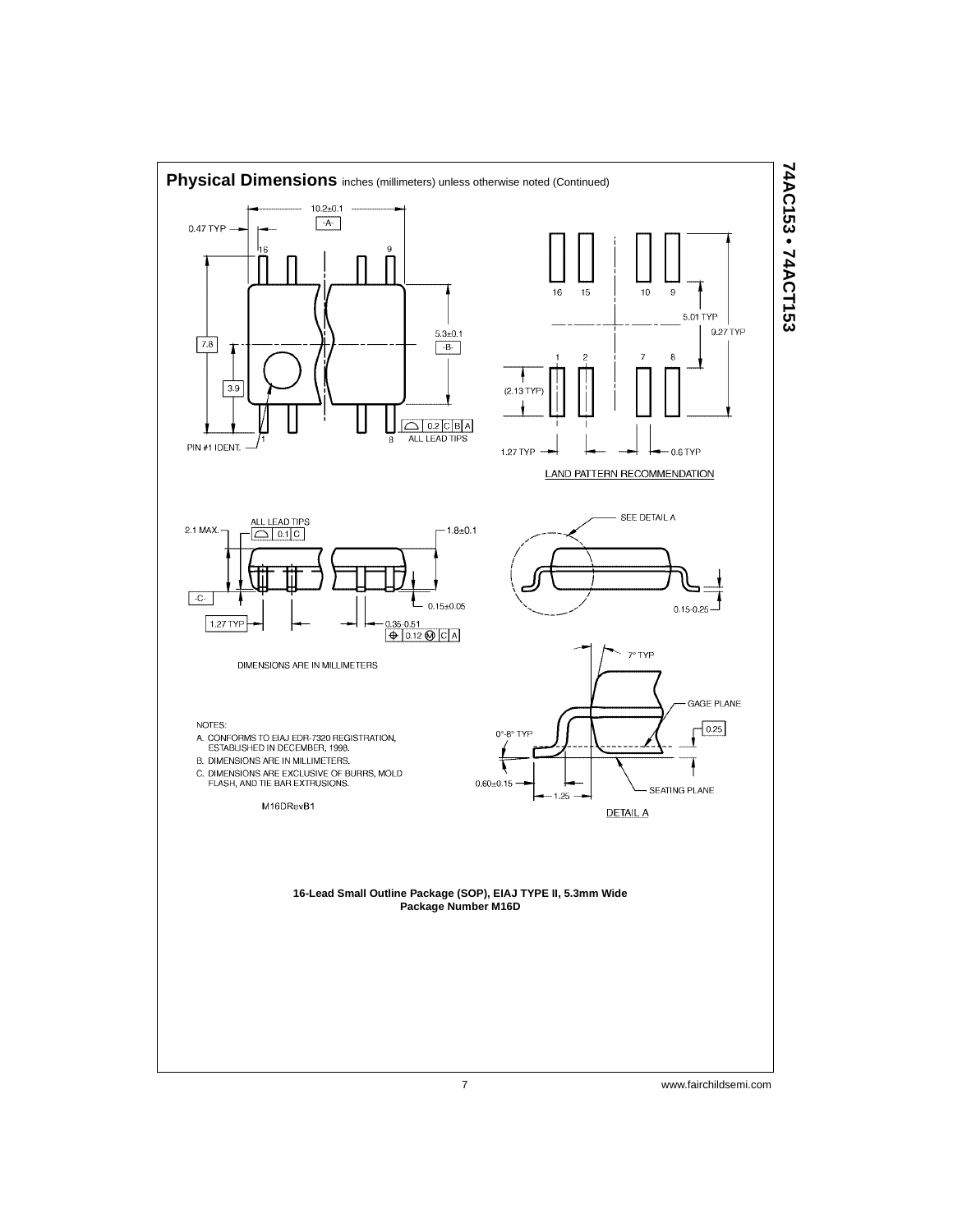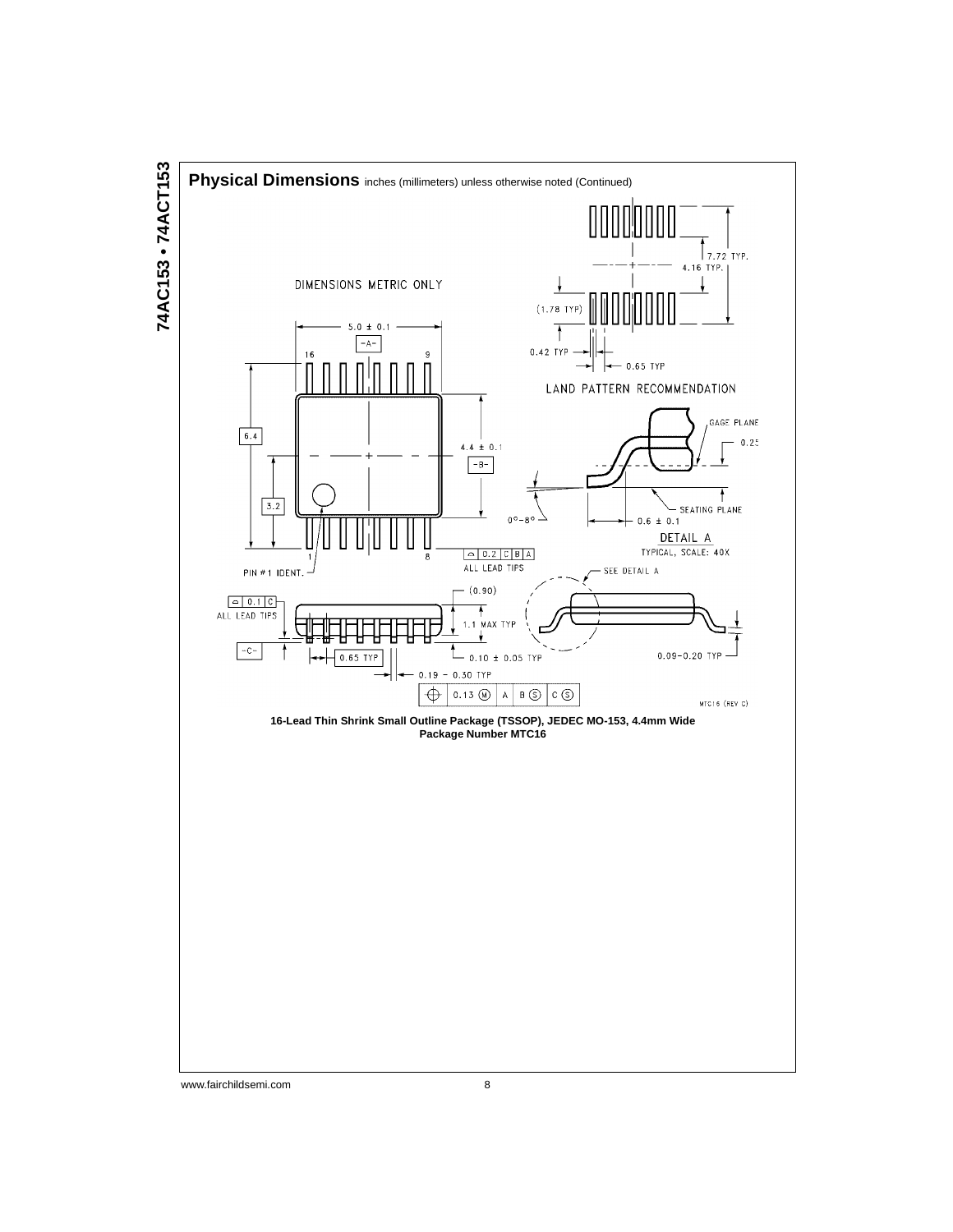

74AC153 · 74ACT153 **74AC153 • 74ACT153**